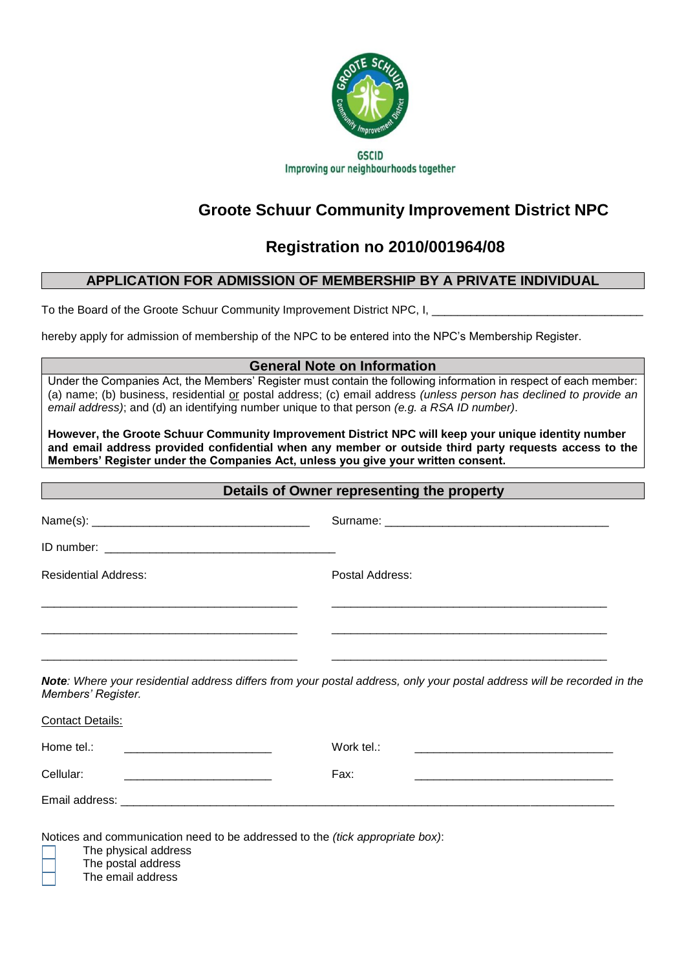

Improving our neighbourhoods together

# **Groote Schuur Community Improvement District NPC**

## **Registration no 2010/001964/08**

## **APPLICATION FOR ADMISSION OF MEMBERSHIP BY A PRIVATE INDIVIDUAL**

To the Board of the Groote Schuur Community Improvement District NPC, I,

hereby apply for admission of membership of the NPC to be entered into the NPC's Membership Register.

## **General Note on Information**

Under the Companies Act, the Members' Register must contain the following information in respect of each member: (a) name; (b) business, residential or postal address; (c) email address *(unless person has declined to provide an email address)*; and (d) an identifying number unique to that person *(e.g. a RSA ID number)*.

**However, the Groote Schuur Community Improvement District NPC will keep your unique identity number and email address provided confidential when any member or outside third party requests access to the Members' Register under the Companies Act, unless you give your written consent.**

| Details of Owner representing the property               |                                                                                                                         |  |  |
|----------------------------------------------------------|-------------------------------------------------------------------------------------------------------------------------|--|--|
|                                                          |                                                                                                                         |  |  |
|                                                          |                                                                                                                         |  |  |
| <b>Residential Address:</b>                              | Postal Address:                                                                                                         |  |  |
|                                                          |                                                                                                                         |  |  |
| Members' Register.                                       | Note: Where your residential address differs from your postal address, only your postal address will be recorded in the |  |  |
| <b>Contact Details:</b>                                  |                                                                                                                         |  |  |
| Home tel.:<br><u> 2000 - Januar Alexander (h. 1888).</u> |                                                                                                                         |  |  |
| Cellular:                                                | Fax:                                                                                                                    |  |  |
|                                                          |                                                                                                                         |  |  |
|                                                          | Matters and communication need to be edded as a district field communication.                                           |  |  |

Notices and communication need to be addressed to the *(tick appropriate box)*:

The physical address

The postal address

The email address